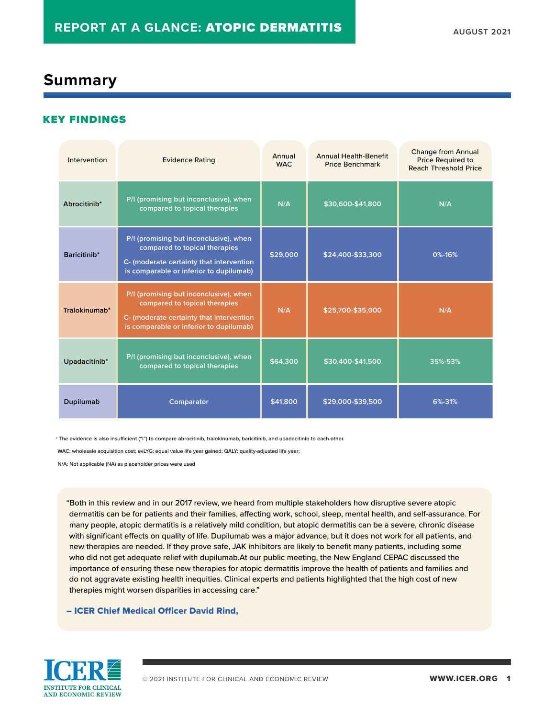### **Summary**

### KEY FINDINGS

| Intervention  | <b>Evidence Rating</b>                                                                                                                                         | Annual<br>WAC. | <b>Annual Health-Benefit</b><br><b>Price Benchmark</b> | <b>Change from Annual</b><br><b>Price Required to</b><br><b>Reach Threshold Price</b> |
|---------------|----------------------------------------------------------------------------------------------------------------------------------------------------------------|----------------|--------------------------------------------------------|---------------------------------------------------------------------------------------|
| Abrocitinib*  | P/I (promising but inconclusive), when<br>compared to topical therapies                                                                                        | N/A            | \$30,600-\$41,800                                      | N/A                                                                                   |
| Baricitinib*  | P/I (promising but inconclusive), when<br>compared to topical therapies<br>C- (moderate certainty that intervention<br>is comparable or inferior to dupilumab) | \$29,000       | \$24,400-\$33,300                                      | 0%-16%                                                                                |
| Tralokinumab* | P/I (promising but inconclusive), when<br>compared to topical therapies<br>C- (moderate certainty that intervention<br>is comparable or inferior to dupilumab) | N/A            | \$25,700-\$35,000                                      | N/A                                                                                   |
| Upadacitinib* | P/I (promising but inconclusive), when<br>compared to topical therapies                                                                                        | \$64,300       | \$30,400-\$41,500                                      | 35%-53%                                                                               |
| Dupilumab     | Comparator                                                                                                                                                     | \$41,800       | \$29,000-\$39,500                                      | 6%-31%                                                                                |

\* The evidence is also insufficient ("I") to compare abrocitinib, tralokinumab, baricitinib, and upadacitinib to each other.

WAC: wholesale acquisition cost; evLYG: equal value life year gained; QALY: quality-adjusted life year;

N/A: Not applicable (NA) as placeholder prices were used

"Both in this review and in our 2017 review, we heard from multiple stakeholders how disruptive severe atopic dermatitis can be for patients and their families, affecting work, school, sleep, mental health, and self-assurance. For many people, atopic dermatitis is a relatively mild condition, but atopic dermatitis can be a severe, chronic disease with significant effects on quality of life. Dupilumab was a major advance, but it does not work for all patients, and new therapies are needed. If they prove safe, JAK inhibitors are likely to benefit many patients, including some who did not get adequate relief with dupilumab.At our public meeting, the New England CEPAC discussed the importance of ensuring these new therapies for atopic dermatitis improve the health of patients and families and do not aggravate existing health inequities. Clinical experts and patients highlighted that the high cost of new therapies might worsen disparities in accessing care."

#### – ICER Chief Medical Officer David Rind,

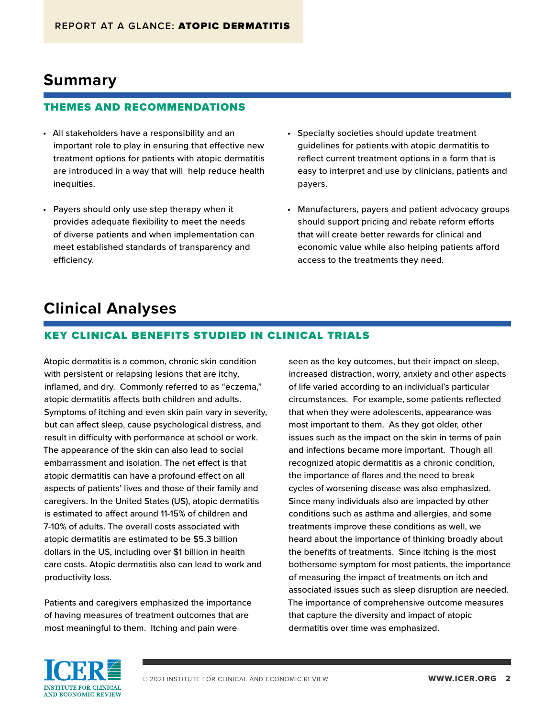## **Summary**

#### THEMES AND RECOMMENDATIONS

- All stakeholders have a responsibility and an important role to play in ensuring that effective new treatment options for patients with atopic dermatitis are introduced in a way that will help reduce health inequities.
- Payers should only use step therapy when it provides adequate flexibility to meet the needs of diverse patients and when implementation can meet established standards of transparency and efficiency.
- Specialty societies should update treatment guidelines for patients with atopic dermatitis to reflect current treatment options in a form that is easy to interpret and use by clinicians, patients and payers.
- Manufacturers, payers and patient advocacy groups should support pricing and rebate reform efforts that will create better rewards for clinical and economic value while also helping patients afford access to the treatments they need.

## **Clinical Analyses**

### KEY CLINICAL BENEFITS STUDIED IN CLINICAL TRIALS

Atopic dermatitis is a common, chronic skin condition with persistent or relapsing lesions that are itchy, inflamed, and dry. Commonly referred to as "eczema," atopic dermatitis affects both children and adults. Symptoms of itching and even skin pain vary in severity, but can affect sleep, cause psychological distress, and result in difficulty with performance at school or work. The appearance of the skin can also lead to social embarrassment and isolation. The net effect is that atopic dermatitis can have a profound effect on all aspects of patients' lives and those of their family and caregivers. In the United States (US), atopic dermatitis is estimated to affect around 11-15% of children and 7-10% of adults. The overall costs associated with atopic dermatitis are estimated to be \$5.3 billion dollars in the US, including over \$1 billion in health care costs. Atopic dermatitis also can lead to work and productivity loss.

Patients and caregivers emphasized the importance of having measures of treatment outcomes that are most meaningful to them. Itching and pain were

seen as the key outcomes, but their impact on sleep, increased distraction, worry, anxiety and other aspects of life varied according to an individual's particular circumstances. For example, some patients reflected that when they were adolescents, appearance was most important to them. As they got older, other issues such as the impact on the skin in terms of pain and infections became more important. Though all recognized atopic dermatitis as a chronic condition, the importance of flares and the need to break cycles of worsening disease was also emphasized. Since many individuals also are impacted by other conditions such as asthma and allergies, and some treatments improve these conditions as well, we heard about the importance of thinking broadly about the benefits of treatments. Since itching is the most bothersome symptom for most patients, the importance of measuring the impact of treatments on itch and associated issues such as sleep disruption are needed. The importance of comprehensive outcome measures that capture the diversity and impact of atopic dermatitis over time was emphasized.

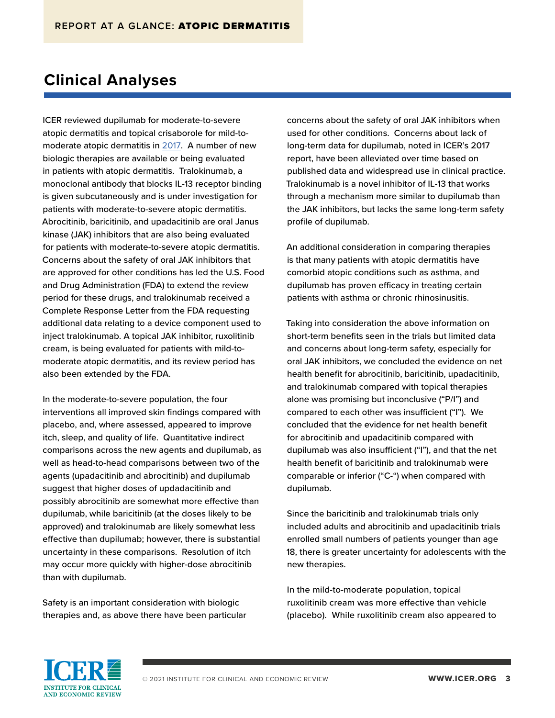# **Clinical Analyses**

ICER reviewed dupilumab for moderate-to-severe atopic dermatitis and topical crisaborole for mild-tomoderate atopic dermatitis in [2017](https://icer.org/assessment/atopic-dermatitis-2017/). A number of new biologic therapies are available or being evaluated in patients with atopic dermatitis. Tralokinumab, a monoclonal antibody that blocks IL-13 receptor binding is given subcutaneously and is under investigation for patients with moderate-to-severe atopic dermatitis. Abrocitinib, baricitinib, and upadacitinib are oral Janus kinase (JAK) inhibitors that are also being evaluated for patients with moderate-to-severe atopic dermatitis. Concerns about the safety of oral JAK inhibitors that are approved for other conditions has led the U.S. Food and Drug Administration (FDA) to extend the review period for these drugs, and tralokinumab received a Complete Response Letter from the FDA requesting additional data relating to a device component used to inject tralokinumab. A topical JAK inhibitor, ruxolitinib cream, is being evaluated for patients with mild-tomoderate atopic dermatitis, and its review period has also been extended by the FDA.

In the moderate-to-severe population, the four interventions all improved skin findings compared with placebo, and, where assessed, appeared to improve itch, sleep, and quality of life. Quantitative indirect comparisons across the new agents and dupilumab, as well as head-to-head comparisons between two of the agents (upadacitinib and abrocitinib) and dupilumab suggest that higher doses of updadacitinib and possibly abrocitinib are somewhat more effective than dupilumab, while baricitinib (at the doses likely to be approved) and tralokinumab are likely somewhat less effective than dupilumab; however, there is substantial uncertainty in these comparisons. Resolution of itch may occur more quickly with higher-dose abrocitinib than with dupilumab.

Safety is an important consideration with biologic therapies and, as above there have been particular concerns about the safety of oral JAK inhibitors when used for other conditions. Concerns about lack of long-term data for dupilumab, noted in ICER's 2017 report, have been alleviated over time based on published data and widespread use in clinical practice. Tralokinumab is a novel inhibitor of IL-13 that works through a mechanism more similar to dupilumab than the JAK inhibitors, but lacks the same long-term safety profile of dupilumab.

An additional consideration in comparing therapies is that many patients with atopic dermatitis have comorbid atopic conditions such as asthma, and dupilumab has proven efficacy in treating certain patients with asthma or chronic rhinosinusitis.

Taking into consideration the above information on short-term benefits seen in the trials but limited data and concerns about long-term safety, especially for oral JAK inhibitors, we concluded the evidence on net health benefit for abrocitinib, baricitinib, upadacitinib, and tralokinumab compared with topical therapies alone was promising but inconclusive ("P/I") and compared to each other was insufficient ("I"). We concluded that the evidence for net health benefit for abrocitinib and upadacitinib compared with dupilumab was also insufficient ("I"), and that the net health benefit of baricitinib and tralokinumab were comparable or inferior ("C-") when compared with dupilumab.

Since the baricitinib and tralokinumab trials only included adults and abrocitinib and upadacitinib trials enrolled small numbers of patients younger than age 18, there is greater uncertainty for adolescents with the new therapies.

In the mild-to-moderate population, topical ruxolitinib cream was more effective than vehicle (placebo). While ruxolitinib cream also appeared to

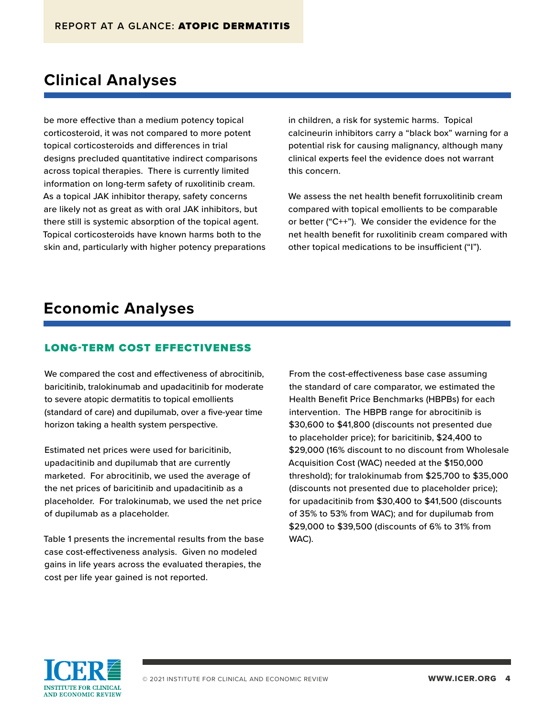### **Clinical Analyses**

be more effective than a medium potency topical corticosteroid, it was not compared to more potent topical corticosteroids and differences in trial designs precluded quantitative indirect comparisons across topical therapies. There is currently limited information on long-term safety of ruxolitinib cream. As a topical JAK inhibitor therapy, safety concerns are likely not as great as with oral JAK inhibitors, but there still is systemic absorption of the topical agent. Topical corticosteroids have known harms both to the skin and, particularly with higher potency preparations in children, a risk for systemic harms. Topical calcineurin inhibitors carry a "black box" warning for a potential risk for causing malignancy, although many clinical experts feel the evidence does not warrant this concern.

We assess the net health benefit forruxolitinib cream compared with topical emollients to be comparable or better ("C++"). We consider the evidence for the net health benefit for ruxolitinib cream compared with other topical medications to be insufficient ("I").

### **Economic Analyses**

#### LONG-TERM COST EFFECTIVENESS

We compared the cost and effectiveness of abrocitinib, baricitinib, tralokinumab and upadacitinib for moderate to severe atopic dermatitis to topical emollients (standard of care) and dupilumab, over a five-year time horizon taking a health system perspective.

Estimated net prices were used for baricitinib, upadacitinib and dupilumab that are currently marketed. For abrocitinib, we used the average of the net prices of baricitinib and upadacitinib as a placeholder. For tralokinumab, we used the net price of dupilumab as a placeholder.

Table 1 presents the incremental results from the base case cost-effectiveness analysis. Given no modeled gains in life years across the evaluated therapies, the cost per life year gained is not reported.

From the cost-effectiveness base case assuming the standard of care comparator, we estimated the Health Benefit Price Benchmarks (HBPBs) for each intervention. The HBPB range for abrocitinib is \$30,600 to \$41,800 (discounts not presented due to placeholder price); for baricitinib, \$24,400 to \$29,000 (16% discount to no discount from Wholesale Acquisition Cost (WAC) needed at the \$150,000 threshold); for tralokinumab from \$25,700 to \$35,000 (discounts not presented due to placeholder price); for upadacitinib from \$30,400 to \$41,500 (discounts of 35% to 53% from WAC); and for dupilumab from \$29,000 to \$39,500 (discounts of 6% to 31% from WAC).

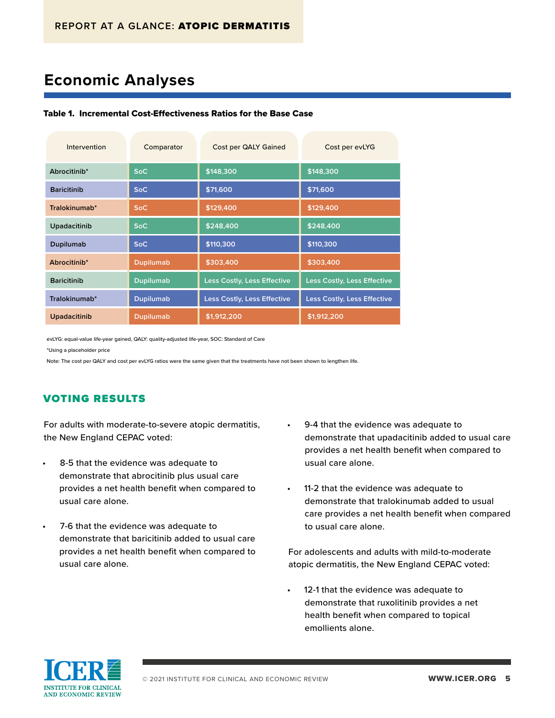# **Economic Analyses**

#### Table 1. Incremental Cost-Effectiveness Ratios for the Base Case

| Intervention        | Comparator       | Cost per QALY Gained        | Cost per evLYG                     |
|---------------------|------------------|-----------------------------|------------------------------------|
| Abrocitinib*        | <b>SoC</b>       | \$148,300                   | \$148,300                          |
| <b>Baricitinib</b>  | <b>SoC</b>       | \$71,600                    | \$71,600                           |
| Tralokinumab*       | <b>SoC</b>       | \$129,400                   | \$129,400                          |
| Upadacitinib        | <b>SoC</b>       | \$248,400                   | \$248,400                          |
| Dupilumab           | <b>SoC</b>       | \$110,300                   | \$110,300                          |
| Abrocitinib*        | <b>Dupilumab</b> | \$303,400                   | \$303,400                          |
| <b>Baricitinib</b>  | <b>Dupilumab</b> | Less Costly, Less Effective | <b>Less Costly, Less Effective</b> |
| Tralokinumab*       | <b>Dupilumab</b> | Less Costly, Less Effective | <b>Less Costly, Less Effective</b> |
| <b>Upadacitinib</b> | <b>Dupilumab</b> | \$1,912,200                 | \$1,912,200                        |

evLYG: equal-value life-year gained, QALY: quality-adjusted life-year, SOC: Standard of Care

\*Using a placeholder price

Note: The cost per QALY and cost per evLYG ratios were the same given that the treatments have not been shown to lengthen life.

### VOTING RESULTS

For adults with moderate-to-severe atopic dermatitis, the New England CEPAC voted:

- 8-5 that the evidence was adequate to demonstrate that abrocitinib plus usual care provides a net health benefit when compared to usual care alone.
- 7-6 that the evidence was adequate to demonstrate that baricitinib added to usual care provides a net health benefit when compared to usual care alone.
- 9-4 that the evidence was adequate to demonstrate that upadacitinib added to usual care provides a net health benefit when compared to usual care alone.
- 11-2 that the evidence was adequate to demonstrate that tralokinumab added to usual care provides a net health benefit when compared to usual care alone.

For adolescents and adults with mild-to-moderate atopic dermatitis, the New England CEPAC voted:

12-1 that the evidence was adequate to demonstrate that ruxolitinib provides a net health benefit when compared to topical emollients alone.